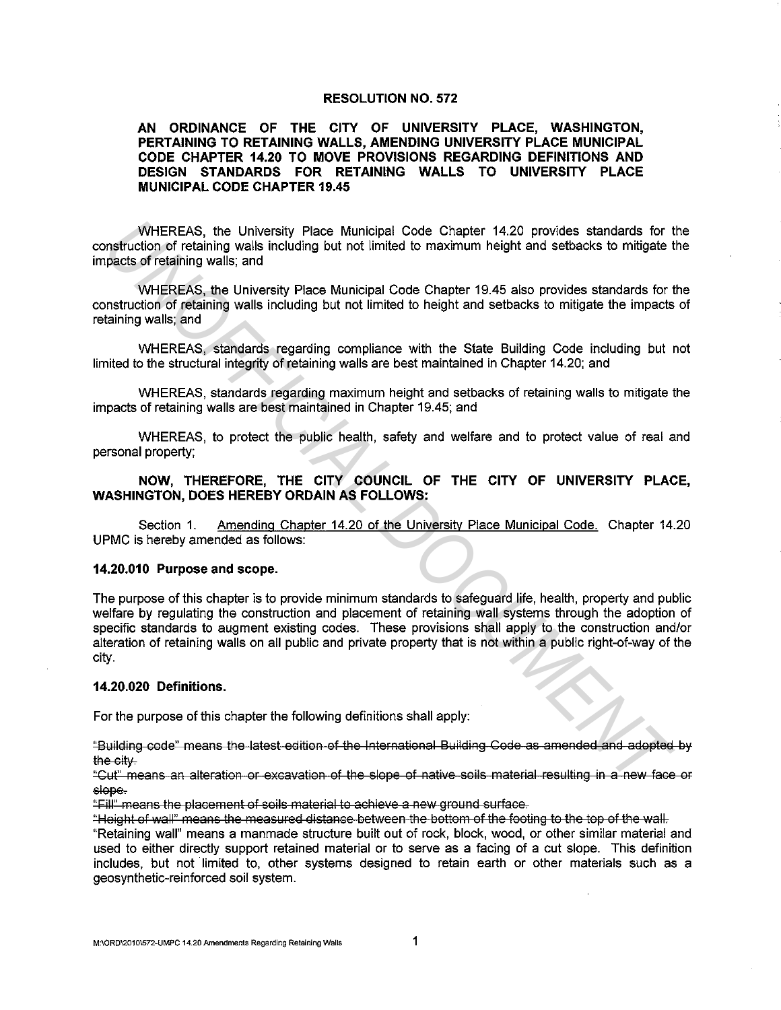#### **RESOLUTION NO. 572**

# **AN ORDINANCE OF THE CITY OF UNIVERSITY PLACE, WASHINGTON, PERTAINING TO RETAINING WALLS, AMENDING UNIVERSITY PLACE MUNICIPAL CODE CHAPTER 14.20 TO MOVE PROVISIONS REGARDING DEFINITIONS AND DESIGN STANDARDS FOR RETAINING WALLS TO UNIVERSITY PLACE MUNICIPAL CODE CHAPTER 19.45**

WHEREAS, the University Place Municipal Code Chapter 14.20 provides standards for the construction of retaining walls including but not limited to maximum height and setbacks to mitigate the impacts of retaining walls; and

WHEREAS, the University Place Municipal Code Chapter 19.45 also provides standards for the construction of retaining walls including but not limited to height and setbacks to mitigate the impacts of retaining walls; and

WHEREAS, standards regarding compliance with the State Building Code including but not limited to the structural integrity of retaining walls are best maintained in Chapter 14.20; and

WHEREAS, standards regarding maximum height and setbacks of retaining walls to mitigate the impacts of retaining walls are best maintained in Chapter 19.45; and

WHEREAS, to protect the public health, safety and welfare and to protect value of real and personal property;

## **NOW, THEREFORE, THE CITY COUNCIL OF THE CITY OF UNIVERSITY PLACE, WASHINGTON, DOES HEREBY ORDAIN AS FOLLOWS:**

Section 1. Amending Chapter 14.20 of the University Place Municipal Code. Chapter 14.20 UPMC is hereby amended as follows:

#### **14.20.010 Purpose and scope.**

The purpose of this chapter is to provide minimum standards to safeguard life, health, property and public welfare by regulating the construction and placement of retaining wall systems through the adoption of specific standards to augment existing codes. These provisions shall apply to the construction and/or alteration of retaining walls on all public and private property that is not within a public right-of-way of the city. WHEREAS, the University Place Municipal Code Chapter 14.20 provides standards for the prediction of relating walls inducting but not limited to maximum height and setbacks to mitigate the prediction of relating walls induc

# **14.20.020 Definitions.**

For the purpose of this chapter the following definitions shall apply:

"Building code" means the latest edition of the International Building Code as amended and adopted by the city.

"Cut" means an alteration or excavation of the slope of native soils material resulting in a new face or slepe.

"Fill" means the placement of soils material to achieve a new ground surface.

"Height of wall" means the measured distance between the bottom of the footing to the top of the wall. "Retaining wall" means a manmade structure built out of rock, block, wood, or other similar material and used to either directly support retained material or to serve as a facing of a cut slope. This definition includes, but not limited to, other systems designed to retain earth or other materials such as a geosynthetic-reinforced soil system.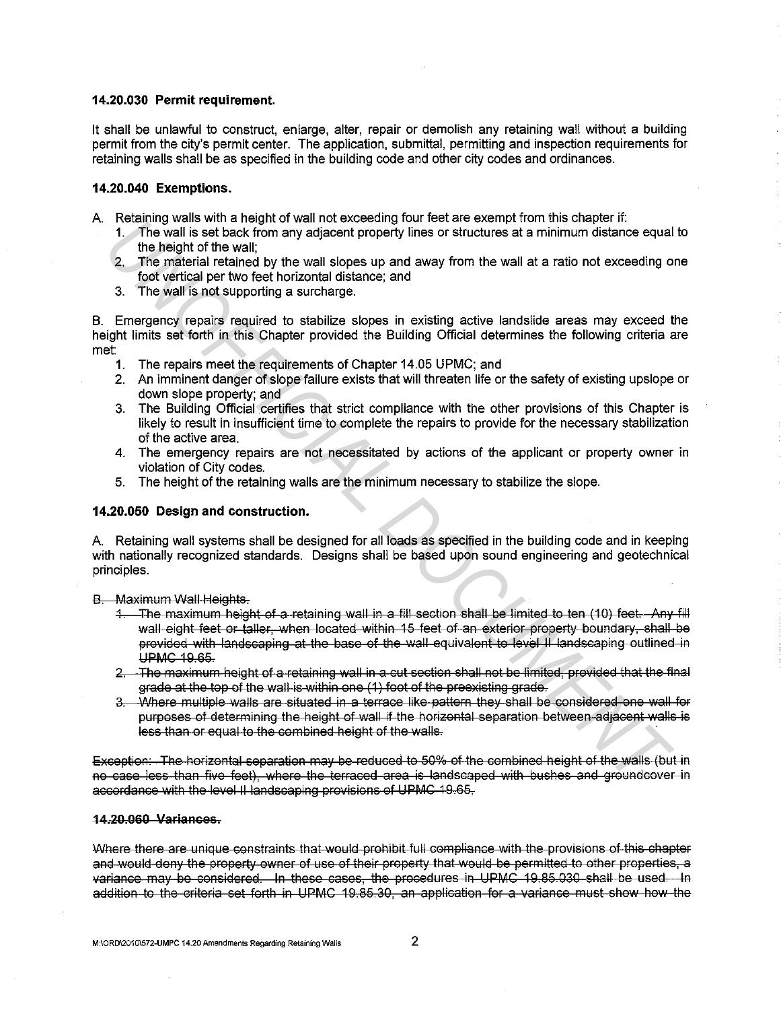## **14.20.030 Permit requirement.**

It shall be unlawful to construct, enlarge, alter, repair or demolish any retaining wall without a building permit from the city's permit center. The application, submittal, permitting and inspection requirements for retaining walls shall be as specified in the building code and other city codes and ordinances.

# **14.20.040 Exemptions.**

- A. Retaining walls with a height of wall not exceeding four feet are exempt from this chapter if:
	- 1. The wall is set back from any adjacent property lines or structures at a minimum distance equal to the height of the wall;
	- 2. The material retained by the wall slopes up and away from the wall at a ratio not exceeding one foot vertical per two feet horizontal distance; and
	- 3. The wall is not supporting a surcharge.

B. Emergency repairs required to stabilize slopes in existing active landslide areas may exceed the height limits set forth in this Chapter provided the Building Official determines the following criteria are met:

- 1. The repairs meet the requirements of Chapter 14.05 UPMC; and
- 2. An imminent danger of slope failure exists that will threaten life or the safety of existing upslope or down slope property; and
- 3. The Building Official certifies that strict compliance with the other provisions of this Chapter is likely to result in insufficient time to complete the repairs to provide for the necessary stabilization of the active area.
- 4. The emergency repairs are not necessitated by actions of the applicant or property owner in violation of City codes.
- 5. The height of the retaining walls are the minimum necessary to stabilize the slope.

### **14.20.050 Design and construction.**

A. Retaining wall systems shall be designed for all loads as specified in the building code and in keeping with nationally recognized standards. Designs shall be based upon sound engineering and geotechnical principles.

**B.** Maximum Wall Heights.

- 1. The maximum height of a retaining wall in a fill section shall be limited to ten (10) feet. Any fill wall eight feet or taller, when located within 15 feet of an exterior property boundary, shall be provided with landscaping at the base of the wall equivalent to level II landscaping outlined in UPMC 19.65. **New York of the wall step to the wall step to the example war be a semiple wall step to the relation the wall step to the mediator of the wall step to the mediator of the wall step to the mediator of the wall step to the** 
	- 2. The maximum height of a retaining wall in a cut section shall not be limited, provided that the final grade at the top of the wall is within one (1) foot of the preexisting grade.
	- 3. Where multiple walls are situated in a terrace like pattern they shall be considered one wall for purposes of determining the height of wall if the horizontal separation between adjacent walls is less than or equal to the combined height of the walls.

Exception: The horizontal separation may be reduced to 50% of the combined height of the walls (but in no case less than five feet), where the terraced area is landscaped with bushes and groundcover in accordance with the level II landscaping provisions of UPMC 19.65.

#### **14.20.060 VarianGes.**

Where there are unique constraints that would prohibit full compliance with the provisions of this chapter and would deny the property owner of use of their property that would be permitted to other properties, a variance may be considered. In these cases, the procedures in UPMC 19.85.030 shall be used. In addition to the criteria set forth in UPMC 19.85.30, an application for a variance must show how the